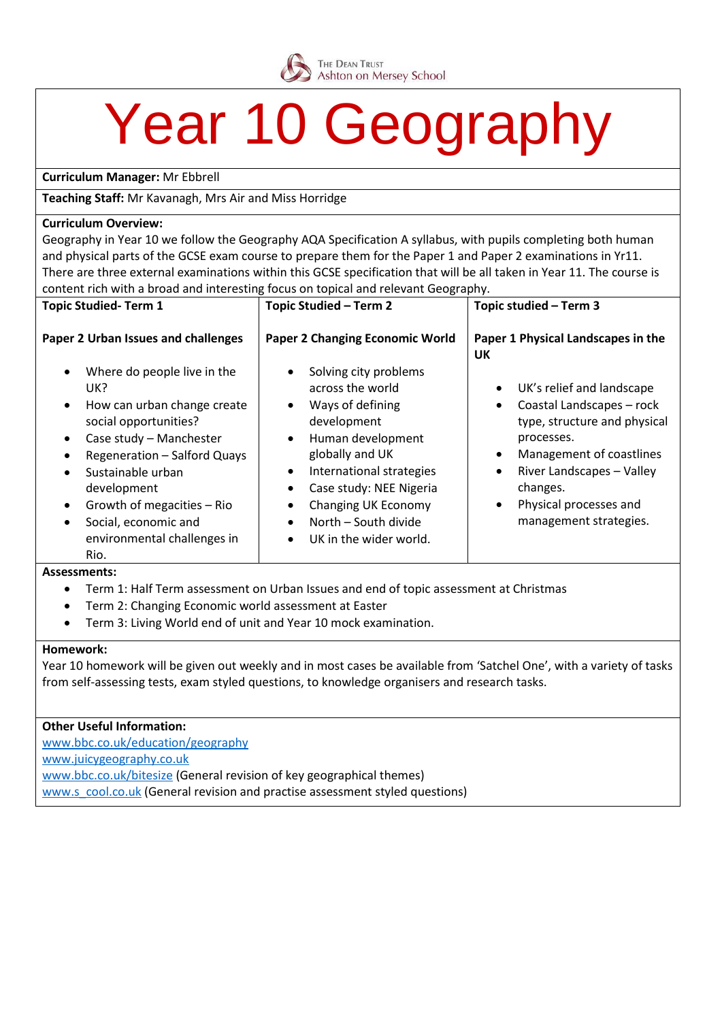

# Year 10 Geography

### **Curriculum Manager:** Mr Ebbrell

**Teaching Staff:** Mr Kavanagh, Mrs Air and Miss Horridge

## **Curriculum Overview:**

Geography in Year 10 we follow the Geography AQA Specification A syllabus, with pupils completing both human and physical parts of the GCSE exam course to prepare them for the Paper 1 and Paper 2 examinations in Yr11. There are three external examinations within this GCSE specification that will be all taken in Year 11. The course is content rich with a broad and interesting focus on topical and relevant Geography.

| <b>Topic Studied-Term 1</b>                                                                                                                                                                                                                                                                                                                                                       | Topic Studied - Term 2                                                                                                                                                                                                                                                                                                     | Topic studied - Term 3                                                                                                                                                                                                                                                         |
|-----------------------------------------------------------------------------------------------------------------------------------------------------------------------------------------------------------------------------------------------------------------------------------------------------------------------------------------------------------------------------------|----------------------------------------------------------------------------------------------------------------------------------------------------------------------------------------------------------------------------------------------------------------------------------------------------------------------------|--------------------------------------------------------------------------------------------------------------------------------------------------------------------------------------------------------------------------------------------------------------------------------|
| Paper 2 Urban Issues and challenges                                                                                                                                                                                                                                                                                                                                               | <b>Paper 2 Changing Economic World</b>                                                                                                                                                                                                                                                                                     | Paper 1 Physical Landscapes in the<br>UK                                                                                                                                                                                                                                       |
| Where do people live in the<br>$\bullet$<br>UK?<br>How can urban change create<br>$\bullet$<br>social opportunities?<br>Case study - Manchester<br>$\bullet$<br>Regeneration - Salford Quays<br>$\bullet$<br>Sustainable urban<br>$\bullet$<br>development<br>Growth of megacities - Rio<br>$\bullet$<br>Social, economic and<br>$\bullet$<br>environmental challenges in<br>Rio. | Solving city problems<br>across the world<br>Ways of defining<br>development<br>Human development<br>$\bullet$<br>globally and UK<br>International strategies<br>$\bullet$<br>Case study: NEE Nigeria<br>٠<br>Changing UK Economy<br>$\bullet$<br>North – South divide<br>$\bullet$<br>UK in the wider world.<br>$\bullet$ | UK's relief and landscape<br>$\bullet$<br>Coastal Landscapes - rock<br>٠<br>type, structure and physical<br>processes.<br>Management of coastlines<br>٠<br>River Landscapes - Valley<br>$\bullet$<br>changes.<br>Physical processes and<br>$\bullet$<br>management strategies. |
| <b>Assessments:</b>                                                                                                                                                                                                                                                                                                                                                               |                                                                                                                                                                                                                                                                                                                            |                                                                                                                                                                                                                                                                                |
| $\bullet$                                                                                                                                                                                                                                                                                                                                                                         | Term 1: Half Term assessment on Urban Issues and end of topic assessment at Christmas                                                                                                                                                                                                                                      |                                                                                                                                                                                                                                                                                |

- Term 2: Changing Economic world assessment at Easter
- Term 3: Living World end of unit and Year 10 mock examination.

### **Homework:**

Year 10 homework will be given out weekly and in most cases be available from 'Satchel One', with a variety of tasks from self-assessing tests, exam styled questions, to knowledge organisers and research tasks.

## **Other Useful Information:**

[www.bbc.co.uk/education/geography](http://www.bbc.co.uk/education/geography) [www.juicygeography.co.uk](http://www.juicygeography.co.uk/) [www.bbc.co.uk/bitesize](http://www.bbc.co.uk/bitesize) (General revision of key geographical themes) [www.s\\_cool.co.uk](http://www.s_cool.co.uk/) (General revision and practise assessment styled questions)